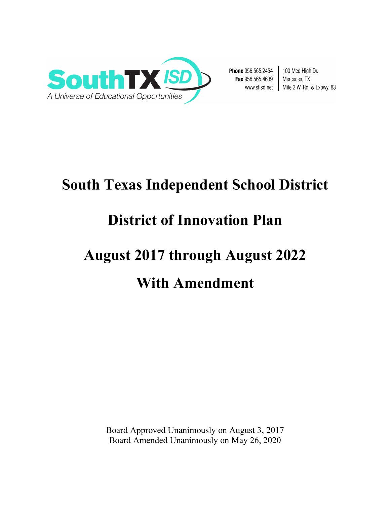

Phone 956.565.2454 Fax 956.565.4639 www.stisd.net |

100 Med High Dr. Mercedes, TX Mile 2 W. Rd. & Expwy. 83

# **South Texas Independent School District**

# **District of Innovation Plan**

# **August 2017 through August 2022 With Amendment**

Board Approved Unanimously on August 3, 2017 Board Amended Unanimously on May 26, 2020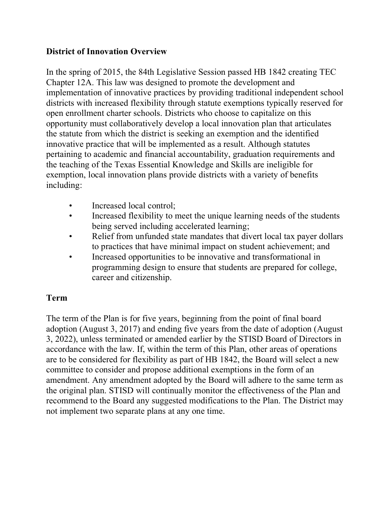#### **District of Innovation Overview**

In the spring of 2015, the 84th Legislative Session passed HB 1842 creating TEC Chapter 12A. This law was designed to promote the development and implementation of innovative practices by providing traditional independent school districts with increased flexibility through statute exemptions typically reserved for open enrollment charter schools. Districts who choose to capitalize on this opportunity must collaboratively develop a local innovation plan that articulates the statute from which the district is seeking an exemption and the identified innovative practice that will be implemented as a result. Although statutes pertaining to academic and financial accountability, graduation requirements and the teaching of the Texas Essential Knowledge and Skills are ineligible for exemption, local innovation plans provide districts with a variety of benefits including:

- Increased local control;
- Increased flexibility to meet the unique learning needs of the students being served including accelerated learning;
- Relief from unfunded state mandates that divert local tax payer dollars to practices that have minimal impact on student achievement; and
- Increased opportunities to be innovative and transformational in programming design to ensure that students are prepared for college, career and citizenship.

#### **Term**

The term of the Plan is for five years, beginning from the point of final board adoption (August 3, 2017) and ending five years from the date of adoption (August 3, 2022), unless terminated or amended earlier by the STISD Board of Directors in accordance with the law. If, within the term of this Plan, other areas of operations are to be considered for flexibility as part of HB 1842, the Board will select a new committee to consider and propose additional exemptions in the form of an amendment. Any amendment adopted by the Board will adhere to the same term as the original plan. STISD will continually monitor the effectiveness of the Plan and recommend to the Board any suggested modifications to the Plan. The District may not implement two separate plans at any one time.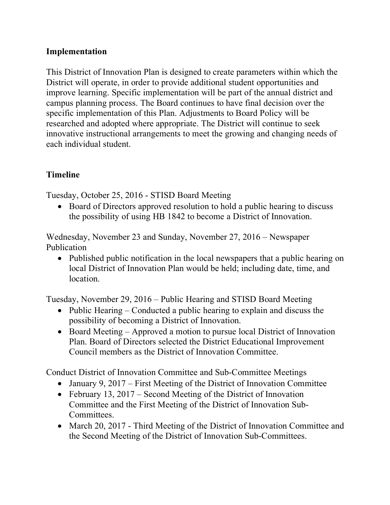#### **Implementation**

This District of Innovation Plan is designed to create parameters within which the District will operate, in order to provide additional student opportunities and improve learning. Specific implementation will be part of the annual district and campus planning process. The Board continues to have final decision over the specific implementation of this Plan. Adjustments to Board Policy will be researched and adopted where appropriate. The District will continue to seek innovative instructional arrangements to meet the growing and changing needs of each individual student.

#### **Timeline**

Tuesday, October 25, 2016 - STISD Board Meeting

• Board of Directors approved resolution to hold a public hearing to discuss the possibility of using HB 1842 to become a District of Innovation.

Wednesday, November 23 and Sunday, November 27, 2016 – Newspaper Publication

• Published public notification in the local newspapers that a public hearing on local District of Innovation Plan would be held; including date, time, and location.

Tuesday, November 29, 2016 – Public Hearing and STISD Board Meeting

- Public Hearing Conducted a public hearing to explain and discuss the possibility of becoming a District of Innovation.
- Board Meeting Approved a motion to pursue local District of Innovation Plan. Board of Directors selected the District Educational Improvement Council members as the District of Innovation Committee.

Conduct District of Innovation Committee and Sub-Committee Meetings

- January 9, 2017 First Meeting of the District of Innovation Committee
- February 13, 2017 Second Meeting of the District of Innovation Committee and the First Meeting of the District of Innovation Sub-**Committees**
- March 20, 2017 Third Meeting of the District of Innovation Committee and the Second Meeting of the District of Innovation Sub-Committees.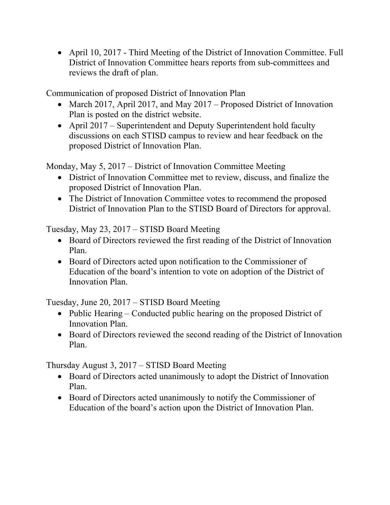• April 10, 2017 - Third Meeting of the District of Innovation Committee. Full District of Innovation Committee hears reports from sub-committees and reviews the draft of plan.

Communication of proposed District of Innovation Plan

- March 2017, April 2017, and May 2017 Proposed District of Innovation Plan is posted on the district website.
- April 2017 Superintendent and Deputy Superintendent hold faculty discussions on each STISD campus to review and hear feedback on the proposed District of Innovation Plan.

Monday, May 5, 2017 – District of Innovation Committee Meeting

- District of Innovation Committee met to review, discuss, and finalize the proposed District of Innovation Plan.
- The District of Innovation Committee votes to recommend the proposed District of Innovation Plan to the STISD Board of Directors for approval.

Tuesday, May 23, 2017 – STISD Board Meeting

- Board of Directors reviewed the first reading of the District of Innovation Plan.
- Board of Directors acted upon notification to the Commissioner of Education of the board's intention to vote on adoption of the District of Innovation Plan.

Tuesday, June 20, 2017 – STISD Board Meeting

- Public Hearing Conducted public hearing on the proposed District of Innovation Plan.
- Board of Directors reviewed the second reading of the District of Innovation Plan.

Thursday August 3, 2017 – STISD Board Meeting

- Board of Directors acted unanimously to adopt the District of Innovation Plan.
- Board of Directors acted unanimously to notify the Commissioner of Education of the board's action upon the District of Innovation Plan.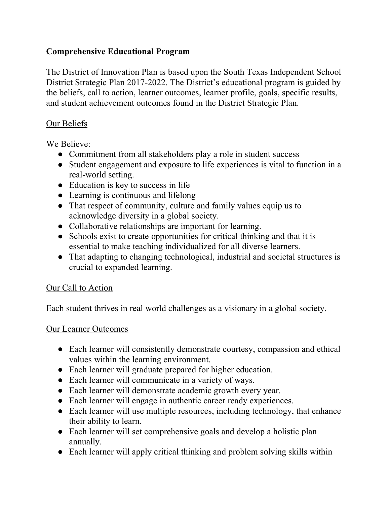#### **Comprehensive Educational Program**

The District of Innovation Plan is based upon the South Texas Independent School District Strategic Plan 2017-2022. The District's educational program is guided by the beliefs, call to action, learner outcomes, learner profile, goals, specific results, and student achievement outcomes found in the District Strategic Plan.

#### Our Beliefs

We Believe:

- Commitment from all stakeholders play a role in student success
- Student engagement and exposure to life experiences is vital to function in a real-world setting.
- Education is key to success in life
- Learning is continuous and lifelong
- That respect of community, culture and family values equip us to acknowledge diversity in a global society.
- Collaborative relationships are important for learning.
- Schools exist to create opportunities for critical thinking and that it is essential to make teaching individualized for all diverse learners.
- That adapting to changing technological, industrial and societal structures is crucial to expanded learning.

#### Our Call to Action

Each student thrives in real world challenges as a visionary in a global society.

#### Our Learner Outcomes

- Each learner will consistently demonstrate courtesy, compassion and ethical values within the learning environment.
- Each learner will graduate prepared for higher education.
- Each learner will communicate in a variety of ways.
- Each learner will demonstrate academic growth every year.
- Each learner will engage in authentic career ready experiences.
- Each learner will use multiple resources, including technology, that enhance their ability to learn.
- Each learner will set comprehensive goals and develop a holistic plan annually.
- Each learner will apply critical thinking and problem solving skills within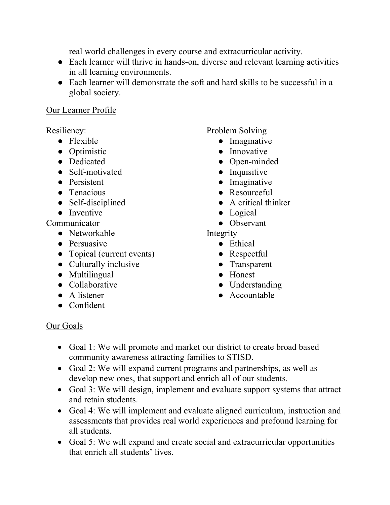real world challenges in every course and extracurricular activity.

- Each learner will thrive in hands-on, diverse and relevant learning activities in all learning environments.
- Each learner will demonstrate the soft and hard skills to be successful in a global society.

#### Our Learner Profile

Resiliency:

- Flexible
- Optimistic
- Dedicated
- Self-motivated
- Persistent
- Tenacious
- Self-disciplined
- Inventive

Communicator

- Networkable
- Persuasive
- Topical (current events)
- Culturally inclusive
- Multilingual
- Collaborative
- A listener
- Confident

Problem Solving

- Imaginative
- Innovative
- Open-minded
- Inquisitive
- Imaginative
- Resourceful
- A critical thinker
- Logical
- Observant

Integrity

- Ethical
- Respectful
- Transparent
- Honest
- Understanding
- Accountable

## Our Goals

- Goal 1: We will promote and market our district to create broad based community awareness attracting families to STISD.
- Goal 2: We will expand current programs and partnerships, as well as develop new ones, that support and enrich all of our students.
- Goal 3: We will design, implement and evaluate support systems that attract and retain students.
- Goal 4: We will implement and evaluate aligned curriculum, instruction and assessments that provides real world experiences and profound learning for all students.
- Goal 5: We will expand and create social and extracurricular opportunities that enrich all students' lives.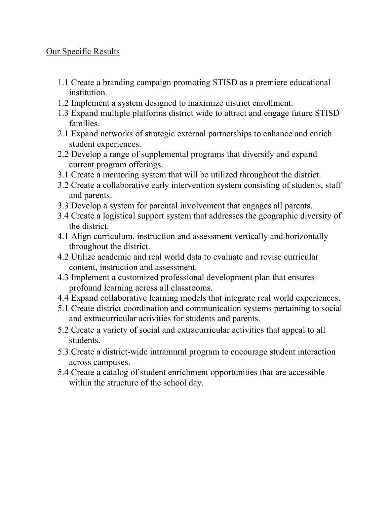#### Our Specific Results

- 1.1 Create a branding campaign promoting STISD as a premiere educational institution.
- 1.2 Implement a system designed to maximize district enrollment.
- 1.3 Expand multiple platforms district wide to attract and engage future STISD families.
- 2.1 Expand networks of strategic external partnerships to enhance and enrich student experiences.
- 2.2 Develop a range of supplemental programs that diversify and expand current program offerings.
- 3.1 Create a mentoring system that will be utilized throughout the district.
- 3.2 Create a collaborative early intervention system consisting of students, staff and parents.
- 3.3 Develop a system for parental involvement that engages all parents.
- 3.4 Create a logistical support system that addresses the geographic diversity of the district.
- 4.1 Align curriculum, instruction and assessment vertically and horizontally throughout the district.
- 4.2 Utilize academic and real world data to evaluate and revise curricular content, instruction and assessment.
- 4.3 Implement a customized professional development plan that ensures profound learning across all classrooms.
- 4.4 Expand collaborative learning models that integrate real world experiences.
- 5.1 Create district coordination and communication systems pertaining to social and extracurricular activities for students and parents.
- 5.2 Create a variety of social and extracurricular activities that appeal to all students.
- 5.3 Create a district-wide intramural program to encourage student interaction across campuses.
- 5.4 Create a catalog of student enrichment opportunities that are accessible within the structure of the school day.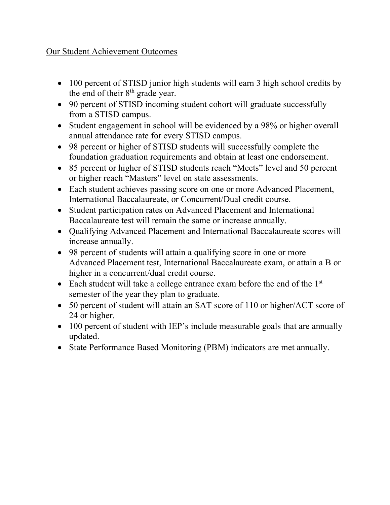#### Our Student Achievement Outcomes

- 100 percent of STISD junior high students will earn 3 high school credits by the end of their  $8<sup>th</sup>$  grade year.
- 90 percent of STISD incoming student cohort will graduate successfully from a STISD campus.
- Student engagement in school will be evidenced by a 98% or higher overall annual attendance rate for every STISD campus.
- 98 percent or higher of STISD students will successfully complete the foundation graduation requirements and obtain at least one endorsement.
- 85 percent or higher of STISD students reach "Meets" level and 50 percent or higher reach "Masters" level on state assessments.
- Each student achieves passing score on one or more Advanced Placement, International Baccalaureate, or Concurrent/Dual credit course.
- Student participation rates on Advanced Placement and International Baccalaureate test will remain the same or increase annually.
- Qualifying Advanced Placement and International Baccalaureate scores will increase annually.
- 98 percent of students will attain a qualifying score in one or more Advanced Placement test, International Baccalaureate exam, or attain a B or higher in a concurrent/dual credit course.
- Each student will take a college entrance exam before the end of the 1<sup>st</sup> semester of the year they plan to graduate.
- 50 percent of student will attain an SAT score of 110 or higher/ACT score of 24 or higher.
- 100 percent of student with IEP's include measurable goals that are annually updated.
- State Performance Based Monitoring (PBM) indicators are met annually.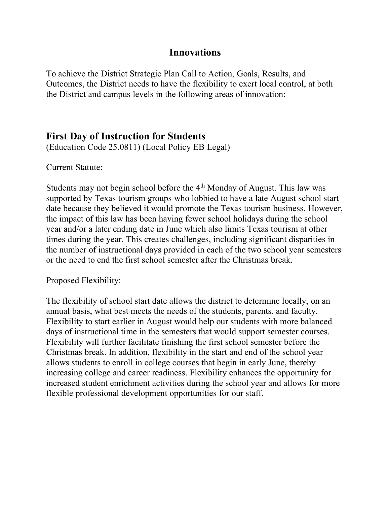#### **Innovations**

To achieve the District Strategic Plan Call to Action, Goals, Results, and Outcomes, the District needs to have the flexibility to exert local control, at both the District and campus levels in the following areas of innovation:

### **First Day of Instruction for Students**

(Education Code 25.0811) (Local Policy EB Legal)

Current Statute:

Students may not begin school before the  $4<sup>th</sup>$  Monday of August. This law was supported by Texas tourism groups who lobbied to have a late August school start date because they believed it would promote the Texas tourism business. However, the impact of this law has been having fewer school holidays during the school year and/or a later ending date in June which also limits Texas tourism at other times during the year. This creates challenges, including significant disparities in the number of instructional days provided in each of the two school year semesters or the need to end the first school semester after the Christmas break.

Proposed Flexibility:

The flexibility of school start date allows the district to determine locally, on an annual basis, what best meets the needs of the students, parents, and faculty. Flexibility to start earlier in August would help our students with more balanced days of instructional time in the semesters that would support semester courses. Flexibility will further facilitate finishing the first school semester before the Christmas break. In addition, flexibility in the start and end of the school year allows students to enroll in college courses that begin in early June, thereby increasing college and career readiness. Flexibility enhances the opportunity for increased student enrichment activities during the school year and allows for more flexible professional development opportunities for our staff.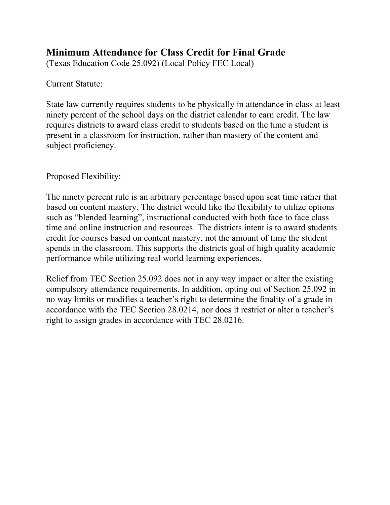# **Minimum Attendance for Class Credit for Final Grade**

(Texas Education Code 25.092) (Local Policy FEC Local)

Current Statute:

State law currently requires students to be physically in attendance in class at least ninety percent of the school days on the district calendar to earn credit. The law requires districts to award class credit to students based on the time a student is present in a classroom for instruction, rather than mastery of the content and subject proficiency.

Proposed Flexibility:

The ninety percent rule is an arbitrary percentage based upon seat time rather that based on content mastery. The district would like the flexibility to utilize options such as "blended learning", instructional conducted with both face to face class time and online instruction and resources. The districts intent is to award students credit for courses based on content mastery, not the amount of time the student spends in the classroom. This supports the districts goal of high quality academic performance while utilizing real world learning experiences.

Relief from TEC Section 25.092 does not in any way impact or alter the existing compulsory attendance requirements. In addition, opting out of Section 25.092 in no way limits or modifies a teacher's right to determine the finality of a grade in accordance with the TEC Section 28.0214, nor does it restrict or alter a teacher's right to assign grades in accordance with TEC 28.0216.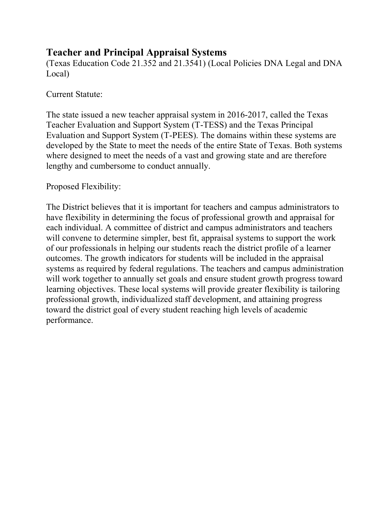# **Teacher and Principal Appraisal Systems**

(Texas Education Code 21.352 and 21.3541) (Local Policies DNA Legal and DNA Local)

#### Current Statute:

The state issued a new teacher appraisal system in 2016-2017, called the Texas Teacher Evaluation and Support System (T-TESS) and the Texas Principal Evaluation and Support System (T-PEES). The domains within these systems are developed by the State to meet the needs of the entire State of Texas. Both systems where designed to meet the needs of a vast and growing state and are therefore lengthy and cumbersome to conduct annually.

#### Proposed Flexibility:

The District believes that it is important for teachers and campus administrators to have flexibility in determining the focus of professional growth and appraisal for each individual. A committee of district and campus administrators and teachers will convene to determine simpler, best fit, appraisal systems to support the work of our professionals in helping our students reach the district profile of a learner outcomes. The growth indicators for students will be included in the appraisal systems as required by federal regulations. The teachers and campus administration will work together to annually set goals and ensure student growth progress toward learning objectives. These local systems will provide greater flexibility is tailoring professional growth, individualized staff development, and attaining progress toward the district goal of every student reaching high levels of academic performance.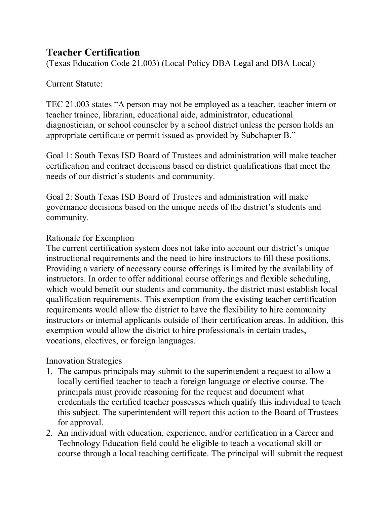# **Teacher Certification**

(Texas Education Code 21.003) (Local Policy DBA Legal and DBA Local)

#### Current Statute:

TEC 21.003 states "A person may not be employed as a teacher, teacher intern or teacher trainee, librarian, educational aide, administrator, educational diagnostician, or school counselor by a school district unless the person holds an appropriate certificate or permit issued as provided by Subchapter B."

Goal 1: South Texas ISD Board of Trustees and administration will make teacher certification and contract decisions based on district qualifications that meet the needs of our district's students and community.

Goal 2: South Texas ISD Board of Trustees and administration will make governance decisions based on the unique needs of the district's students and community.

#### Rationale for Exemption

The current certification system does not take into account our district's unique instructional requirements and the need to hire instructors to fill these positions. Providing a variety of necessary course offerings is limited by the availability of instructors. In order to offer additional course offerings and flexible scheduling, which would benefit our students and community, the district must establish local qualification requirements. This exemption from the existing teacher certification requirements would allow the district to have the flexibility to hire community instructors or internal applicants outside of their certification areas. In addition, this exemption would allow the district to hire professionals in certain trades, vocations, electives, or foreign languages.

#### Innovation Strategies

- 1. The campus principals may submit to the superintendent a request to allow a locally certified teacher to teach a foreign language or elective course. The principals must provide reasoning for the request and document what credentials the certified teacher possesses which qualify this individual to teach this subject. The superintendent will report this action to the Board of Trustees for approval.
- 2. An individual with education, experience, and/or certification in a Career and Technology Education field could be eligible to teach a vocational skill or course through a local teaching certificate. The principal will submit the request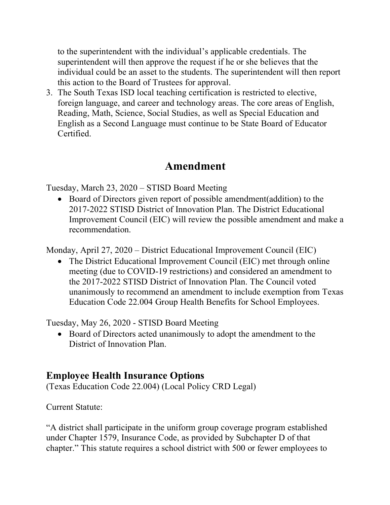to the superintendent with the individual's applicable credentials. The superintendent will then approve the request if he or she believes that the individual could be an asset to the students. The superintendent will then report this action to the Board of Trustees for approval.

3. The South Texas ISD local teaching certification is restricted to elective, foreign language, and career and technology areas. The core areas of English, Reading, Math, Science, Social Studies, as well as Special Education and English as a Second Language must continue to be State Board of Educator Certified.

# **Amendment**

Tuesday, March 23, 2020 – STISD Board Meeting

• Board of Directors given report of possible amendment(addition) to the 2017-2022 STISD District of Innovation Plan. The District Educational Improvement Council (EIC) will review the possible amendment and make a recommendation.

Monday, April 27, 2020 – District Educational Improvement Council (EIC)

• The District Educational Improvement Council (EIC) met through online meeting (due to COVID-19 restrictions) and considered an amendment to the 2017-2022 STISD District of Innovation Plan. The Council voted unanimously to recommend an amendment to include exemption from Texas Education Code 22.004 Group Health Benefits for School Employees.

Tuesday, May 26, 2020 - STISD Board Meeting

• Board of Directors acted unanimously to adopt the amendment to the District of Innovation Plan.

# **Employee Health Insurance Options**

(Texas Education Code 22.004) (Local Policy CRD Legal)

Current Statute:

"A district shall participate in the uniform group coverage program established under Chapter 1579, Insurance Code, as provided by Subchapter D of that chapter." This statute requires a school district with 500 or fewer employees to